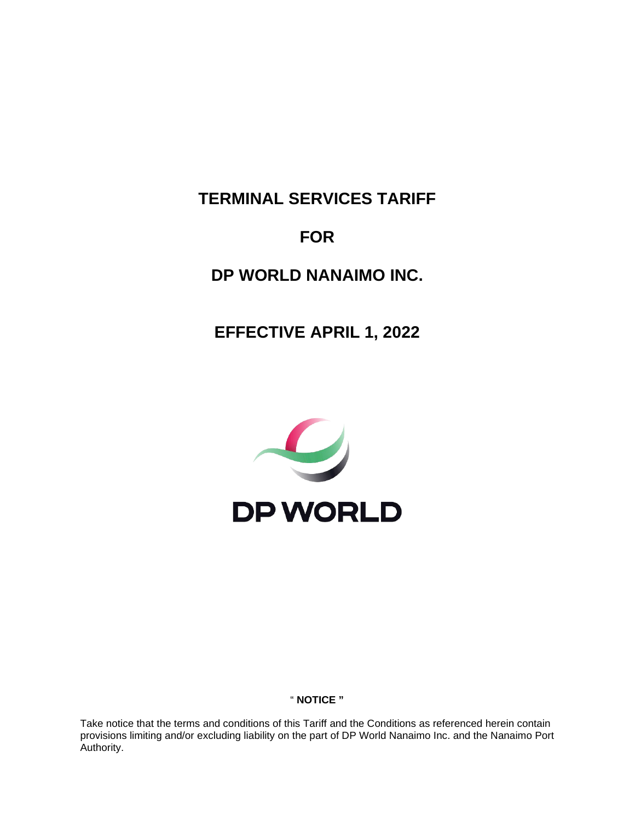**TERMINAL SERVICES TARIFF**

# **FOR**

# **DP WORLD NANAIMO INC.**

**EFFECTIVE APRIL 1, 2022**



# " **NOTICE "**

Take notice that the terms and conditions of this Tariff and the Conditions as referenced herein contain provisions limiting and/or excluding liability on the part of DP World Nanaimo Inc. and the Nanaimo Port Authority.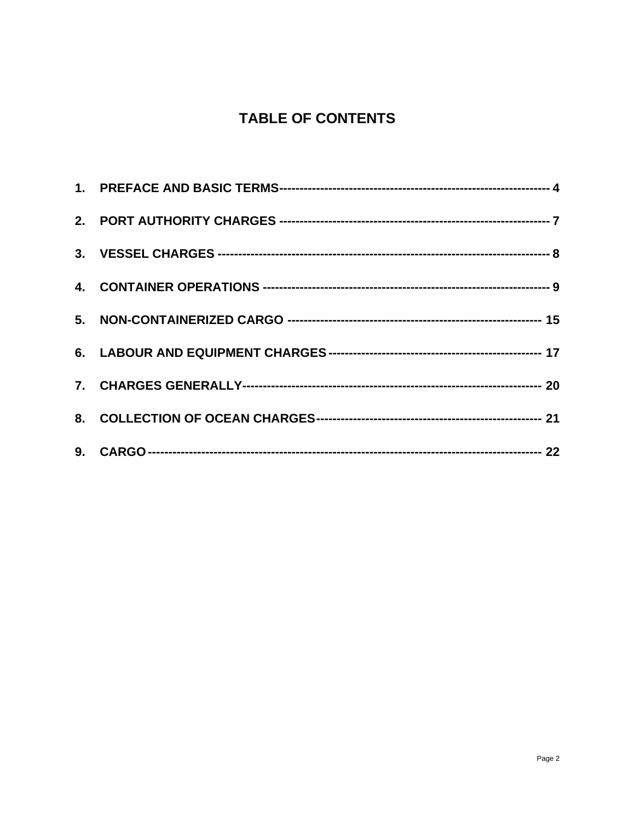# **TABLE OF CONTENTS**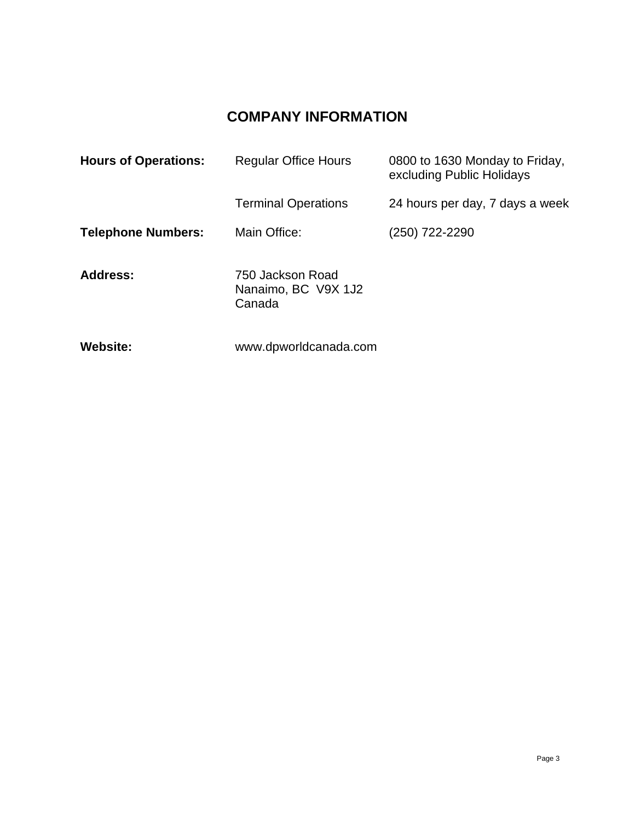# **COMPANY INFORMATION**

| <b>Hours of Operations:</b> | <b>Regular Office Hours</b>                       | 0800 to 1630 Monday to Friday,<br>excluding Public Holidays |
|-----------------------------|---------------------------------------------------|-------------------------------------------------------------|
|                             | <b>Terminal Operations</b>                        | 24 hours per day, 7 days a week                             |
| <b>Telephone Numbers:</b>   | Main Office:                                      | (250) 722-2290                                              |
| <b>Address:</b>             | 750 Jackson Road<br>Nanaimo, BC V9X 1J2<br>Canada |                                                             |
| <b>Website:</b>             | www.dpworldcanada.com                             |                                                             |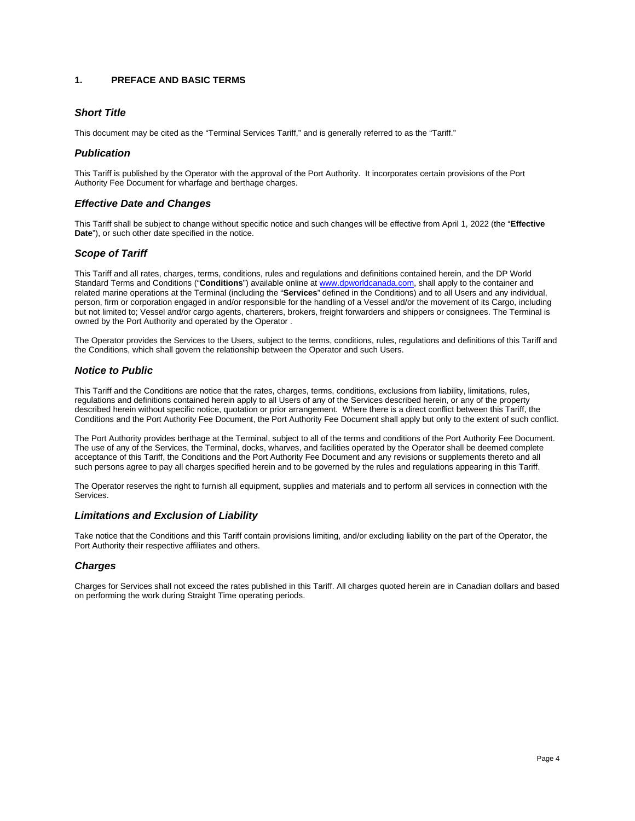# <span id="page-3-0"></span>**1. PREFACE AND BASIC TERMS**

# *Short Title*

This document may be cited as the "Terminal Services Tariff," and is generally referred to as the "Tariff."

# *Publication*

This Tariff is published by the Operator with the approval of the Port Authority. It incorporates certain provisions of the Port Authority Fee Document for wharfage and berthage charges.

# *Effective Date and Changes*

This Tariff shall be subject to change without specific notice and such changes will be effective from April 1, 2022 (the "**Effective Date**"), or such other date specified in the notice.

# *Scope of Tariff*

This Tariff and all rates, charges, terms, conditions, rules and regulations and definitions contained herein, and the DP World Standard Terms and Conditions ("**Conditions**") available online at [www.dpworldcanada.com,](http://www.dpworldcanada.com/) shall apply to the container and related marine operations at the Terminal (including the "**Services**" defined in the Conditions) and to all Users and any individual, person, firm or corporation engaged in and/or responsible for the handling of a Vessel and/or the movement of its Cargo, including but not limited to; Vessel and/or cargo agents, charterers, brokers, freight forwarders and shippers or consignees. The Terminal is owned by the Port Authority and operated by the Operator .

The Operator provides the Services to the Users, subject to the terms, conditions, rules, regulations and definitions of this Tariff and the Conditions, which shall govern the relationship between the Operator and such Users.

# *Notice to Public*

This Tariff and the Conditions are notice that the rates, charges, terms, conditions, exclusions from liability, limitations, rules, regulations and definitions contained herein apply to all Users of any of the Services described herein, or any of the property described herein without specific notice, quotation or prior arrangement. Where there is a direct conflict between this Tariff, the Conditions and the Port Authority Fee Document, the Port Authority Fee Document shall apply but only to the extent of such conflict.

The Port Authority provides berthage at the Terminal, subject to all of the terms and conditions of the Port Authority Fee Document. The use of any of the Services, the Terminal, docks, wharves, and facilities operated by the Operator shall be deemed complete acceptance of this Tariff, the Conditions and the Port Authority Fee Document and any revisions or supplements thereto and all such persons agree to pay all charges specified herein and to be governed by the rules and regulations appearing in this Tariff.

The Operator reserves the right to furnish all equipment, supplies and materials and to perform all services in connection with the Services.

#### *Limitations and Exclusion of Liability*

Take notice that the Conditions and this Tariff contain provisions limiting, and/or excluding liability on the part of the Operator, the Port Authority their respective affiliates and others.

# *Charges*

Charges for Services shall not exceed the rates published in this Tariff. All charges quoted herein are in Canadian dollars and based on performing the work during Straight Time operating periods.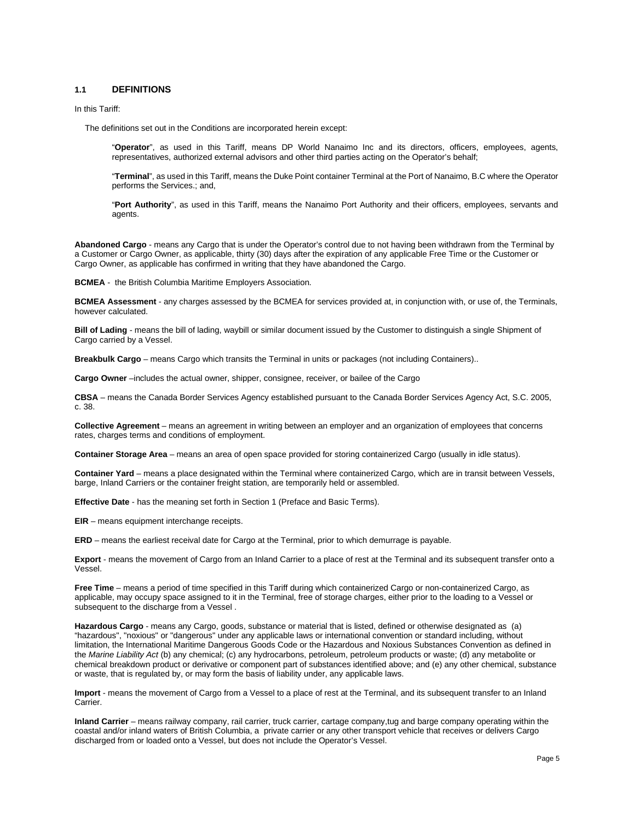#### **1.1 DEFINITIONS**

In this Tariff:

The definitions set out in the Conditions are incorporated herein except:

"**Operator**", as used in this Tariff, means DP World Nanaimo Inc and its directors, officers, employees, agents, representatives, authorized external advisors and other third parties acting on the Operator's behalf;

"**Terminal**", as used in this Tariff, means the Duke Point container Terminal at the Port of Nanaimo, B.C where the Operator performs the Services.; and,

"**Port Authority**", as used in this Tariff, means the Nanaimo Port Authority and their officers, employees, servants and agents

**Abandoned Cargo** - means any Cargo that is under the Operator's control due to not having been withdrawn from the Terminal by a Customer or Cargo Owner, as applicable, thirty (30) days after the expiration of any applicable Free Time or the Customer or Cargo Owner, as applicable has confirmed in writing that they have abandoned the Cargo.

**BCMEA** - the British Columbia Maritime Employers Association.

**BCMEA Assessment** - any charges assessed by the BCMEA for services provided at, in conjunction with, or use of, the Terminals, however calculated.

**Bill of Lading** - means the bill of lading, waybill or similar document issued by the Customer to distinguish a single Shipment of Cargo carried by a Vessel.

**Breakbulk Cargo** – means Cargo which transits the Terminal in units or packages (not including Containers)..

**Cargo Owner** –includes the actual owner, shipper, consignee, receiver, or bailee of the Cargo

**CBSA** – means the Canada Border Services Agency established pursuant to the Canada Border Services Agency Act, S.C. 2005, c. 38.

**Collective Agreement** – means an agreement in writing between an employer and an organization of employees that concerns rates, charges terms and conditions of employment.

**Container Storage Area** – means an area of open space provided for storing containerized Cargo (usually in idle status).

**Container Yard** – means a place designated within the Terminal where containerized Cargo, which are in transit between Vessels, barge, Inland Carriers or the container freight station, are temporarily held or assembled.

**Effective Date** - has the meaning set forth in Section 1 (Preface and Basic Terms).

**EIR** – means equipment interchange receipts.

**ERD** – means the earliest receival date for Cargo at the Terminal, prior to which demurrage is payable.

**Export** - means the movement of Cargo from an Inland Carrier to a place of rest at the Terminal and its subsequent transfer onto a Vessel.

Free Time – means a period of time specified in this Tariff during which containerized Cargo or non-containerized Cargo, as applicable, may occupy space assigned to it in the Terminal, free of storage charges, either prior to the loading to a Vessel or subsequent to the discharge from a Vessel .

**Hazardous Cargo** - means any Cargo, goods, substance or material that is listed, defined or otherwise designated as (a) "hazardous", "noxious" or "dangerous" under any applicable laws or international convention or standard including, without limitation, the International Maritime Dangerous Goods Code or the Hazardous and Noxious Substances Convention as defined in the *Marine Liability Act* (b) any chemical; (c) any hydrocarbons, petroleum, petroleum products or waste; (d) any metabolite or chemical breakdown product or derivative or component part of substances identified above; and (e) any other chemical, substance or waste, that is regulated by, or may form the basis of liability under, any applicable laws.

**Import** - means the movement of Cargo from a Vessel to a place of rest at the Terminal, and its subsequent transfer to an Inland Carrier.

**Inland Carrier** – means railway company, rail carrier, truck carrier, cartage company,tug and barge company operating within the coastal and/or inland waters of British Columbia, a private carrier or any other transport vehicle that receives or delivers Cargo discharged from or loaded onto a Vessel, but does not include the Operator's Vessel.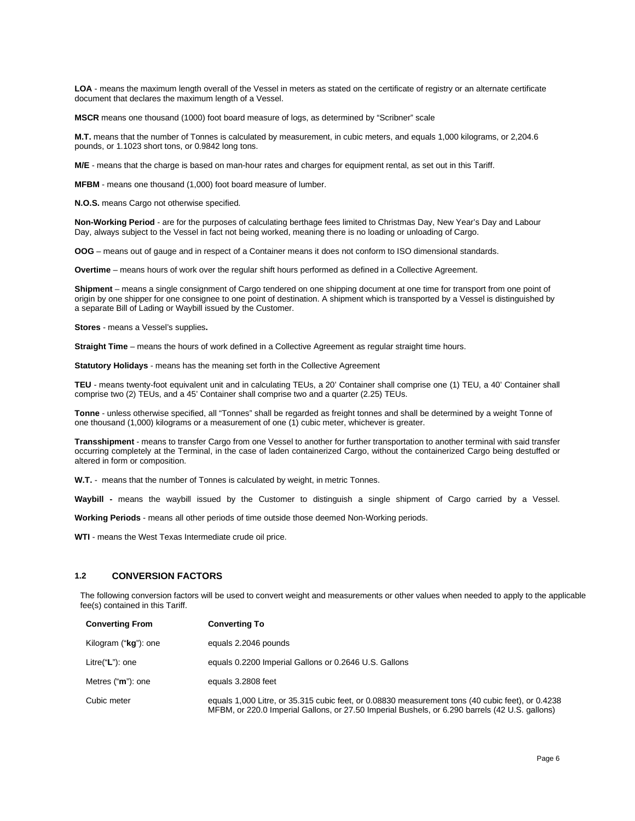**LOA** - means the maximum length overall of the Vessel in meters as stated on the certificate of registry or an alternate certificate document that declares the maximum length of a Vessel.

**MSCR** means one thousand (1000) foot board measure of logs, as determined by "Scribner" scale

**M.T.** means that the number of Tonnes is calculated by measurement, in cubic meters, and equals 1,000 kilograms, or 2,204.6 pounds, or 1.1023 short tons, or 0.9842 long tons.

**M/E** - means that the charge is based on man-hour rates and charges for equipment rental, as set out in this Tariff.

**MFBM** - means one thousand (1,000) foot board measure of lumber.

**N.O.S.** means Cargo not otherwise specified.

**Non-Working Period** - are for the purposes of calculating berthage fees limited to Christmas Day, New Year's Day and Labour Day, always subject to the Vessel in fact not being worked, meaning there is no loading or unloading of Cargo.

**OOG** – means out of gauge and in respect of a Container means it does not conform to ISO dimensional standards.

**Overtime** – means hours of work over the regular shift hours performed as defined in a Collective Agreement.

**Shipment** – means a single consignment of Cargo tendered on one shipping document at one time for transport from one point of origin by one shipper for one consignee to one point of destination. A shipment which is transported by a Vessel is distinguished by a separate Bill of Lading or Waybill issued by the Customer.

**Stores** - means a Vessel's supplies**.** 

**Straight Time** – means the hours of work defined in a Collective Agreement as regular straight time hours.

**Statutory Holidays** - means has the meaning set forth in the Collective Agreement

**TEU** - means twenty-foot equivalent unit and in calculating TEUs, a 20' Container shall comprise one (1) TEU, a 40' Container shall comprise two (2) TEUs, and a 45' Container shall comprise two and a quarter (2.25) TEUs.

**Tonne** - unless otherwise specified, all "Tonnes" shall be regarded as freight tonnes and shall be determined by a weight Tonne of one thousand (1,000) kilograms or a measurement of one (1) cubic meter, whichever is greater.

**Transshipment** - means to transfer Cargo from one Vessel to another for further transportation to another terminal with said transfer occurring completely at the Terminal, in the case of laden containerized Cargo, without the containerized Cargo being destuffed or altered in form or composition.

**W.T.** - means that the number of Tonnes is calculated by weight, in metric Tonnes.

**Waybill -** means the waybill issued by the Customer to distinguish a single shipment of Cargo carried by a Vessel.

**Working Periods** - means all other periods of time outside those deemed Non-Working periods.

**WTI** - means the West Texas Intermediate crude oil price.

# **1.2 CONVERSION FACTORS**

The following conversion factors will be used to convert weight and measurements or other values when needed to apply to the applicable fee(s) contained in this Tariff.

| <b>Converting From</b> | <b>Converting To</b>                                                                                                                                                                               |
|------------------------|----------------------------------------------------------------------------------------------------------------------------------------------------------------------------------------------------|
| Kilogram ("kg"): one   | equals 2.2046 pounds                                                                                                                                                                               |
| Litre("L"): one        | equals 0.2200 Imperial Gallons or 0.2646 U.S. Gallons                                                                                                                                              |
| Metres ("m"): one      | equals 3.2808 feet                                                                                                                                                                                 |
| Cubic meter            | equals 1,000 Litre, or 35.315 cubic feet, or 0.08830 measurement tons (40 cubic feet), or 0.4238<br>MFBM, or 220.0 Imperial Gallons, or 27.50 Imperial Bushels, or 6.290 barrels (42 U.S. gallons) |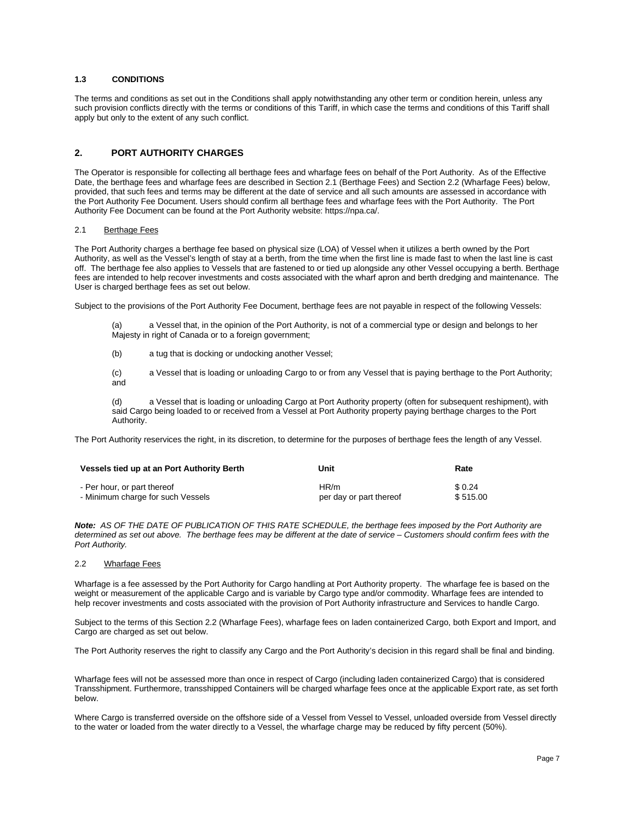#### **1.3 CONDITIONS**

The terms and conditions as set out in the Conditions shall apply notwithstanding any other term or condition herein, unless any such provision conflicts directly with the terms or conditions of this Tariff, in which case the terms and conditions of this Tariff shall apply but only to the extent of any such conflict.

# <span id="page-6-0"></span>**2. PORT AUTHORITY CHARGES**

The Operator is responsible for collecting all berthage fees and wharfage fees on behalf of the Port Authority. As of the Effective Date, the berthage fees and wharfage fees are described in Section 2.1 (Berthage Fees) and Section 2.2 (Wharfage Fees) below, provided, that such fees and terms may be different at the date of service and all such amounts are assessed in accordance with the Port Authority Fee Document. Users should confirm all berthage fees and wharfage fees with the Port Authority. The Port Authority Fee Document can be found at the Port Authority website: https://npa.ca/.

#### 2.1 Berthage Fees

The Port Authority charges a berthage fee based on physical size (LOA) of Vessel when it utilizes a berth owned by the Port Authority, as well as the Vessel's length of stay at a berth, from the time when the first line is made fast to when the last line is cast off. The berthage fee also applies to Vessels that are fastened to or tied up alongside any other Vessel occupying a berth. Berthage fees are intended to help recover investments and costs associated with the wharf apron and berth dredging and maintenance. The User is charged berthage fees as set out below.

Subject to the provisions of the Port Authority Fee Document, berthage fees are not payable in respect of the following Vessels:

a Vessel that, in the opinion of the Port Authority, is not of a commercial type or design and belongs to her Majesty in right of Canada or to a foreign government;

- (b) a tug that is docking or undocking another Vessel;
- (c) a Vessel that is loading or unloading Cargo to or from any Vessel that is paying berthage to the Port Authority; and

(d) a Vessel that is loading or unloading Cargo at Port Authority property (often for subsequent reshipment), with said Cargo being loaded to or received from a Vessel at Port Authority property paying berthage charges to the Port Authority.

The Port Authority reservices the right, in its discretion, to determine for the purposes of berthage fees the length of any Vessel.

| Vessels tied up at an Port Authority Berth | Unit                    | Rate     |
|--------------------------------------------|-------------------------|----------|
| - Per hour, or part thereof                | HR/m                    | \$ 0.24  |
| - Minimum charge for such Vessels          | per day or part thereof | \$515.00 |

*Note: AS OF THE DATE OF PUBLICATION OF THIS RATE SCHEDULE, the berthage fees imposed by the Port Authority are determined as set out above. The berthage fees may be different at the date of service – Customers should confirm fees with the Port Authority.*

#### 2.2 Wharfage Fees

Wharfage is a fee assessed by the Port Authority for Cargo handling at Port Authority property. The wharfage fee is based on the weight or measurement of the applicable Cargo and is variable by Cargo type and/or commodity. Wharfage fees are intended to help recover investments and costs associated with the provision of Port Authority infrastructure and Services to handle Cargo.

Subject to the terms of this Section 2.2 (Wharfage Fees), wharfage fees on laden containerized Cargo, both Export and Import, and Cargo are charged as set out below.

The Port Authority reserves the right to classify any Cargo and the Port Authority's decision in this regard shall be final and binding.

Wharfage fees will not be assessed more than once in respect of Cargo (including laden containerized Cargo) that is considered Transshipment. Furthermore, transshipped Containers will be charged wharfage fees once at the applicable Export rate, as set forth below.

Where Cargo is transferred overside on the offshore side of a Vessel from Vessel to Vessel, unloaded overside from Vessel directly to the water or loaded from the water directly to a Vessel, the wharfage charge may be reduced by fifty percent (50%).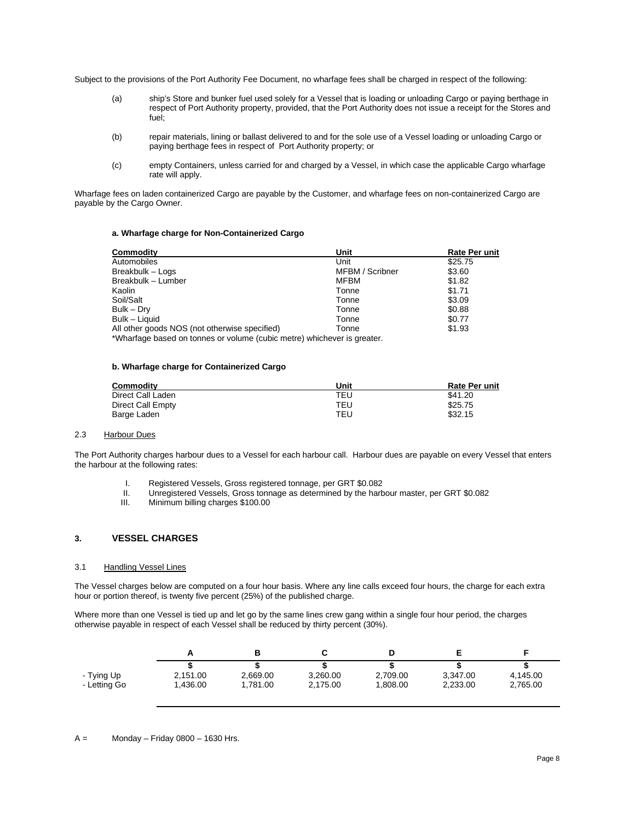Subject to the provisions of the Port Authority Fee Document, no wharfage fees shall be charged in respect of the following:

- (a) ship's Store and bunker fuel used solely for a Vessel that is loading or unloading Cargo or paying berthage in respect of Port Authority property, provided, that the Port Authority does not issue a receipt for the Stores and fuel;
- (b) repair materials, lining or ballast delivered to and for the sole use of a Vessel loading or unloading Cargo or paying berthage fees in respect of Port Authority property; or
- (c) empty Containers, unless carried for and charged by a Vessel, in which case the applicable Cargo wharfage rate will apply.

Wharfage fees on laden containerized Cargo are payable by the Customer, and wharfage fees on non-containerized Cargo are payable by the Cargo Owner.

#### **a. Wharfage charge for Non-Containerized Cargo**

| Commodity                                     | Unit            | <b>Rate Per unit</b> |
|-----------------------------------------------|-----------------|----------------------|
| Automobiles                                   | Unit            | \$25.75              |
| Breakbulk - Logs                              | MFBM / Scribner | \$3.60               |
| Breakbulk - Lumber                            | <b>MFBM</b>     | \$1.82               |
| Kaolin                                        | Tonne           | \$1.71               |
| Soil/Salt                                     | Tonne           | \$3.09               |
| Bulk – Dry                                    | Tonne           | \$0.88               |
| Bulk - Liquid                                 | Tonne           | \$0.77               |
| All other goods NOS (not otherwise specified) | Tonne           | \$1.93               |
|                                               |                 |                      |

\*Wharfage based on tonnes or volume (cubic metre) whichever is greater.

#### **b. Wharfage charge for Containerized Cargo**

| Commodity         | Unit | <b>Rate Per unit</b> |
|-------------------|------|----------------------|
| Direct Call Laden | TEU  | \$41.20              |
| Direct Call Empty | TEU  | \$25.75              |
| Barge Laden       | TEU  | \$32.15              |

#### 2.3 Harbour Dues

The Port Authority charges harbour dues to a Vessel for each harbour call. Harbour dues are payable on every Vessel that enters the harbour at the following rates:

- I. Registered Vessels, Gross registered tonnage, per GRT \$0.082<br>II. Unregistered Vessels. Gross tonnage as determined by the harb
- II. Unregistered Vessels, Gross tonnage as determined by the harbour master, per GRT \$0.082<br>III. Minimum billing charges \$100.00
- Minimum billing charges \$100.00

# <span id="page-7-0"></span>**3. VESSEL CHARGES**

#### 3.1 Handling Vessel Lines

The Vessel charges below are computed on a four hour basis. Where any line calls exceed four hours, the charge for each extra hour or portion thereof, is twenty five percent (25%) of the published charge.

Where more than one Vessel is tied up and let go by the same lines crew gang within a single four hour period, the charges otherwise payable in respect of each Vessel shall be reduced by thirty percent (30%).

| - Tying Up   | 2.151.00 | 2.669.00 | 3,260.00 | 2,709.00 | 3.347.00 | 4.145.00 |
|--------------|----------|----------|----------|----------|----------|----------|
| - Letting Go | .436.00  | 1.781.00 | 2.175.00 | 1.808.00 | 2,233.00 | 2,765.00 |
|              |          |          |          |          |          |          |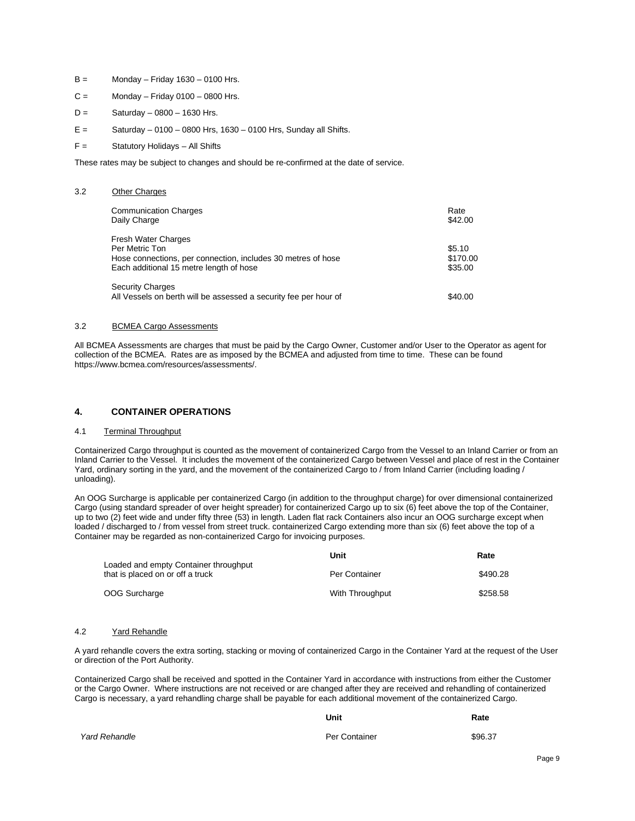- $B =$  Monday Friday 1630 0100 Hrs.
- $C =$  Monday Friday 0100 0800 Hrs.
- $D =$  Saturday 0800 1630 Hrs.
- $E =$  Saturday 0100 0800 Hrs, 1630 0100 Hrs, Sunday all Shifts.
- F = Statutory Holidays All Shifts

These rates may be subject to changes and should be re-confirmed at the date of service.

#### 3.2 Other Charges

| <b>Communication Charges</b><br>Daily Charge                                                                                                            | Rate<br>\$42.00               |
|---------------------------------------------------------------------------------------------------------------------------------------------------------|-------------------------------|
| <b>Fresh Water Charges</b><br>Per Metric Ton<br>Hose connections, per connection, includes 30 metres of hose<br>Each additional 15 metre length of hose | \$5.10<br>\$170.00<br>\$35.00 |
| <b>Security Charges</b><br>All Vessels on berth will be assessed a security fee per hour of                                                             | \$40.00                       |

#### 3.2 BCMEA Cargo Assessments

All BCMEA Assessments are charges that must be paid by the Cargo Owner, Customer and/or User to the Operator as agent for collection of the BCMEA. Rates are as imposed by the BCMEA and adjusted from time to time. These can be found [https://www.bcmea.com/resources/assessments/.](https://www.bcmea.com/resources/assessments/)

# <span id="page-8-0"></span>**4. CONTAINER OPERATIONS**

#### 4.1 Terminal Throughput

Containerized Cargo throughput is counted as the movement of containerized Cargo from the Vessel to an Inland Carrier or from an Inland Carrier to the Vessel. It includes the movement of the containerized Cargo between Vessel and place of rest in the Container Yard, ordinary sorting in the yard, and the movement of the containerized Cargo to / from Inland Carrier (including loading / unloading).

An OOG Surcharge is applicable per containerized Cargo (in addition to the throughput charge) for over dimensional containerized Cargo (using standard spreader of over height spreader) for containerized Cargo up to six (6) feet above the top of the Container, up to two (2) feet wide and under fifty three (53) in length. Laden flat rack Containers also incur an OOG surcharge except when loaded / discharged to / from vessel from street truck. containerized Cargo extending more than six (6) feet above the top of a Container may be regarded as non-containerized Cargo for invoicing purposes.

|                                                                           | Unit            | Rate     |
|---------------------------------------------------------------------------|-----------------|----------|
| Loaded and empty Container throughput<br>that is placed on or off a truck | Per Container   | \$490.28 |
| OOG Surcharge                                                             | With Throughput | \$258.58 |

#### 4.2 Yard Rehandle

A yard rehandle covers the extra sorting, stacking or moving of containerized Cargo in the Container Yard at the request of the User or direction of the Port Authority.

Containerized Cargo shall be received and spotted in the Container Yard in accordance with instructions from either the Customer or the Cargo Owner. Where instructions are not received or are changed after they are received and rehandling of containerized Cargo is necessary, a yard rehandling charge shall be payable for each additional movement of the containerized Cargo.

|               | Unit          | Rate    |
|---------------|---------------|---------|
| Yard Rehandle | Per Container | \$96.37 |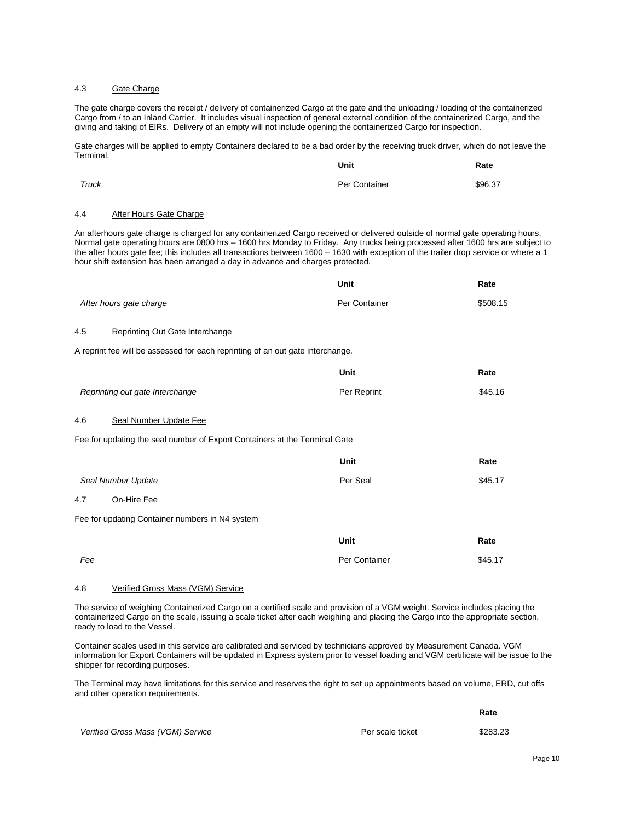#### 4.3 Gate Charge

The gate charge covers the receipt / delivery of containerized Cargo at the gate and the unloading / loading of the containerized Cargo from / to an Inland Carrier. It includes visual inspection of general external condition of the containerized Cargo, and the giving and taking of EIRs. Delivery of an empty will not include opening the containerized Cargo for inspection.

Gate charges will be applied to empty Containers declared to be a bad order by the receiving truck driver, which do not leave the Terminal. **Unit Rate**

|       | um            | nalt    |
|-------|---------------|---------|
| Truck | Per Container | \$96.37 |

### 4.4 After Hours Gate Charge

An afterhours gate charge is charged for any containerized Cargo received or delivered outside of normal gate operating hours. Normal gate operating hours are 0800 hrs – 1600 hrs Monday to Friday. Any trucks being processed after 1600 hrs are subject to the after hours gate fee; this includes all transactions between 1600 – 1630 with exception of the trailer drop service or where a 1 hour shift extension has been arranged a day in advance and charges protected.

|                                                                                                                          | Unit          | Rate     |
|--------------------------------------------------------------------------------------------------------------------------|---------------|----------|
| After hours gate charge                                                                                                  | Per Container | \$508.15 |
| 4.5<br>Reprinting Out Gate Interchange<br>A reprint fee will be assessed for each reprinting of an out gate interchange. |               |          |
|                                                                                                                          | Unit          | Rate     |
| Reprinting out gate Interchange                                                                                          | Per Reprint   | \$45.16  |
| 4.6<br>Seal Number Update Fee                                                                                            |               |          |
| Fee for updating the seal number of Export Containers at the Terminal Gate                                               |               |          |
|                                                                                                                          | <b>Unit</b>   | Rate     |
| Seal Number Update                                                                                                       | Per Seal      | \$45.17  |
| On-Hire Fee<br>4.7                                                                                                       |               |          |
| Fee for updating Container numbers in N4 system                                                                          |               |          |
|                                                                                                                          | Unit          | Rate     |

#### 4.8 Verified Gross Mass (VGM) Service

*Fee* 

The service of weighing Containerized Cargo on a certified scale and provision of a VGM weight. Service includes placing the containerized Cargo on the scale, issuing a scale ticket after each weighing and placing the Cargo into the appropriate section, ready to load to the Vessel.

Per Container

Container scales used in this service are calibrated and serviced by technicians approved by Measurement Canada. VGM information for Export Containers will be updated in Express system prior to vessel loading and VGM certificate will be issue to the shipper for recording purposes.

The Terminal may have limitations for this service and reserves the right to set up appointments based on volume, ERD, cut offs and other operation requirements.

| Verified Gross Mass (VGM) Service | Per scale ticket |
|-----------------------------------|------------------|
|                                   |                  |

**Rate** \$283.23

\$45.17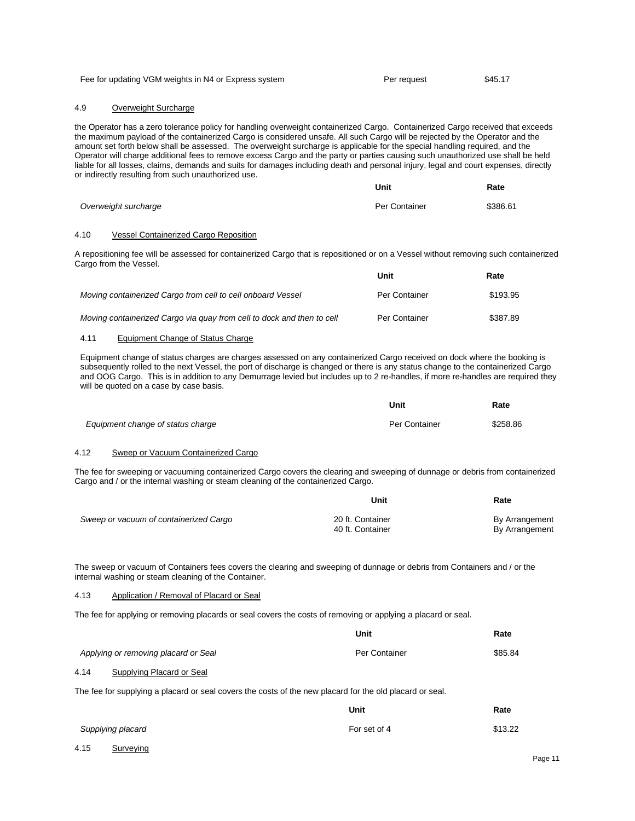| Fee for updating VGM weights in N4 or Express system | Per request | \$45.17 |
|------------------------------------------------------|-------------|---------|
|                                                      |             |         |

# 4.9 Overweight Surcharge

the Operator has a zero tolerance policy for handling overweight containerized Cargo. Containerized Cargo received that exceeds the maximum payload of the containerized Cargo is considered unsafe. All such Cargo will be rejected by the Operator and the amount set forth below shall be assessed. The overweight surcharge is applicable for the special handling required, and the Operator will charge additional fees to remove excess Cargo and the party or parties causing such unauthorized use shall be held liable for all losses, claims, demands and suits for damages including death and personal injury, legal and court expenses, directly or indirectly resulting from such unauthorized use.

|                      | Unit          | Rate     |
|----------------------|---------------|----------|
| Overweight surcharge | Per Container | \$386.61 |

#### 4.10 Vessel Containerized Cargo Reposition

A repositioning fee will be assessed for containerized Cargo that is repositioned or on a Vessel without removing such containerized Cargo from the Vessel.

|                                                                        | Unit          | Rate     |
|------------------------------------------------------------------------|---------------|----------|
| Moving containerized Cargo from cell to cell onboard Vessel            | Per Container | \$193.95 |
| Moving containerized Cargo via guay from cell to dock and then to cell | Per Container | \$387.89 |

#### 4.11 Equipment Change of Status Charge

Equipment change of status charges are charges assessed on any containerized Cargo received on dock where the booking is subsequently rolled to the next Vessel, the port of discharge is changed or there is any status change to the containerized Cargo and OOG Cargo. This is in addition to any Demurrage levied but includes up to 2 re-handles, if more re-handles are required they will be quoted on a case by case basis.

|                                   | Unit          | Rate     |
|-----------------------------------|---------------|----------|
| Equipment change of status charge | Per Container | \$258.86 |

#### 4.12 Sweep or Vacuum Containerized Cargo

The fee for sweeping or vacuuming containerized Cargo covers the clearing and sweeping of dunnage or debris from containerized Cargo and / or the internal washing or steam cleaning of the containerized Cargo.

|                                        | Unit             | Rate           |
|----------------------------------------|------------------|----------------|
| Sweep or vacuum of containerized Cargo | 20 ft. Container | By Arrangement |
|                                        | 40 ft. Container | By Arrangement |

The sweep or vacuum of Containers fees covers the clearing and sweeping of dunnage or debris from Containers and / or the internal washing or steam cleaning of the Container.

#### 4.13 Application / Removal of Placard or Seal

The fee for applying or removing placards or seal covers the costs of removing or applying a placard or seal.

|      |                                                                                                          | Unit          | Rate    |
|------|----------------------------------------------------------------------------------------------------------|---------------|---------|
|      | Applying or removing placard or Seal                                                                     | Per Container | \$85.84 |
| 4.14 | Supplying Placard or Seal                                                                                |               |         |
|      | The fee for supplying a placard or seal covers the costs of the new placard for the old placard or seal. |               |         |

|                   | Unit         | Rate    |
|-------------------|--------------|---------|
| Supplying placard | For set of 4 | \$13.22 |
| 4.15<br>Surveying |              |         |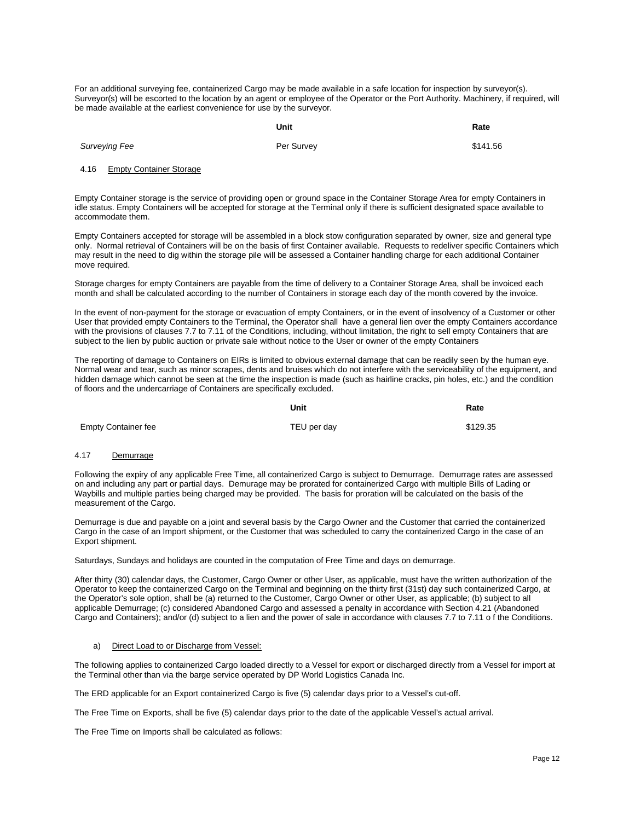For an additional surveying fee, containerized Cargo may be made available in a safe location for inspection by surveyor(s). Surveyor(s) will be escorted to the location by an agent or employee of the Operator or the Port Authority. Machinery, if required, will be made available at the earliest convenience for use by the surveyor.

|               | Unit       | Rate     |
|---------------|------------|----------|
| Surveying Fee | Per Survey | \$141.56 |

#### 4.16 Empty Container Storage

Empty Container storage is the service of providing open or ground space in the Container Storage Area for empty Containers in idle status. Empty Containers will be accepted for storage at the Terminal only if there is sufficient designated space available to accommodate them.

Empty Containers accepted for storage will be assembled in a block stow configuration separated by owner, size and general type only. Normal retrieval of Containers will be on the basis of first Container available. Requests to redeliver specific Containers which may result in the need to dig within the storage pile will be assessed a Container handling charge for each additional Container move required.

Storage charges for empty Containers are payable from the time of delivery to a Container Storage Area, shall be invoiced each month and shall be calculated according to the number of Containers in storage each day of the month covered by the invoice.

In the event of non-payment for the storage or evacuation of empty Containers, or in the event of insolvency of a Customer or other User that provided empty Containers to the Terminal, the Operator shall have a general lien over the empty Containers accordance with the provisions of clauses 7.7 to 7.11 of the Conditions, including, without limitation, the right to sell empty Containers that are subject to the lien by public auction or private sale without notice to the User or owner of the empty Containers

The reporting of damage to Containers on EIRs is limited to obvious external damage that can be readily seen by the human eye. Normal wear and tear, such as minor scrapes, dents and bruises which do not interfere with the serviceability of the equipment, and hidden damage which cannot be seen at the time the inspection is made (such as hairline cracks, pin holes, etc.) and the condition of floors and the undercarriage of Containers are specifically excluded.

|                            | Unit        | Rate     |
|----------------------------|-------------|----------|
| <b>Empty Container fee</b> | TEU per day | \$129.35 |

#### 4.17 Demurrage

Following the expiry of any applicable Free Time, all containerized Cargo is subject to Demurrage. Demurrage rates are assessed on and including any part or partial days. Demurage may be prorated for containerized Cargo with multiple Bills of Lading or Waybills and multiple parties being charged may be provided. The basis for proration will be calculated on the basis of the measurement of the Cargo.

Demurrage is due and payable on a joint and several basis by the Cargo Owner and the Customer that carried the containerized Cargo in the case of an Import shipment, or the Customer that was scheduled to carry the containerized Cargo in the case of an Export shipment.

Saturdays, Sundays and holidays are counted in the computation of Free Time and days on demurrage.

After thirty (30) calendar days, the Customer, Cargo Owner or other User, as applicable, must have the written authorization of the Operator to keep the containerized Cargo on the Terminal and beginning on the thirty first (31st) day such containerized Cargo, at the Operator's sole option, shall be (a) returned to the Customer, Cargo Owner or other User, as applicable; (b) subject to all applicable Demurrage; (c) considered Abandoned Cargo and assessed a penalty in accordance with Section 4.21 (Abandoned Cargo and Containers); and/or (d) subject to a lien and the power of sale in accordance with clauses 7.7 to 7.11 o f the Conditions.

#### a) Direct Load to or Discharge from Vessel:

The following applies to containerized Cargo loaded directly to a Vessel for export or discharged directly from a Vessel for import at the Terminal other than via the barge service operated by DP World Logistics Canada Inc.

The ERD applicable for an Export containerized Cargo is five (5) calendar days prior to a Vessel's cut-off.

The Free Time on Exports, shall be five (5) calendar days prior to the date of the applicable Vessel's actual arrival.

The Free Time on Imports shall be calculated as follows: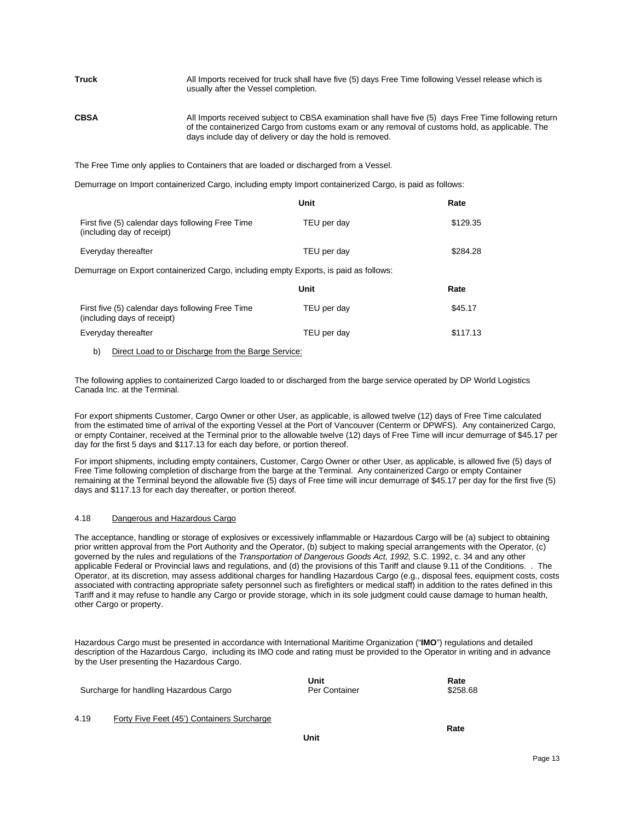**Truck All Imports received for truck shall have five (5) days Free Time following Vessel release which is** usually after the Vessel completion. **CBSA** All Imports received subject to CBSA examination shall have five (5) days Free Time following return of the containerized Cargo from customs exam or any removal of customs hold, as applicable. The days include day of delivery or day the hold is removed.

The Free Time only applies to Containers that are loaded or discharged from a Vessel.

Demurrage on Import containerized Cargo, including empty Import containerized Cargo, is paid as follows:

|                                                                                       | Unit        | Rate     |
|---------------------------------------------------------------------------------------|-------------|----------|
| First five (5) calendar days following Free Time<br>(including day of receipt)        | TEU per day | \$129.35 |
| Everyday thereafter                                                                   | TEU per day | \$284.28 |
| Demurrage on Export containerized Cargo, including empty Exports, is paid as follows: |             |          |
|                                                                                       | Unit        | Rate     |
| First five (5) calendar days following Free Time<br>(including days of receipt)       | TEU per day | \$45.17  |

Everyday thereafter **TEU per day \$117.13** 

#### b) Direct Load to or Discharge from the Barge Service:

The following applies to containerized Cargo loaded to or discharged from the barge service operated by DP World Logistics Canada Inc. at the Terminal.

For export shipments Customer, Cargo Owner or other User, as applicable, is allowed twelve (12) days of Free Time calculated from the estimated time of arrival of the exporting Vessel at the Port of Vancouver (Centerm or DPWFS). Any containerized Cargo, or empty Container, received at the Terminal prior to the allowable twelve (12) days of Free Time will incur demurrage of \$45.17 per day for the first 5 days and \$117.13 for each day before, or portion thereof.

For import shipments, including empty containers, Customer, Cargo Owner or other User, as applicable, is allowed five (5) days of Free Time following completion of discharge from the barge at the Terminal. Any containerized Cargo or empty Container remaining at the Terminal beyond the allowable five (5) days of Free time will incur demurrage of \$45.17 per day for the first five (5) days and \$117.13 for each day thereafter, or portion thereof.

#### 4.18 Dangerous and Hazardous Cargo

The acceptance, handling or storage of explosives or excessively inflammable or Hazardous Cargo will be (a) subject to obtaining prior written approval from the Port Authority and the Operator, (b) subject to making special arrangements with the Operator, (c) governed by the rules and regulations of the *Transportation of Dangerous Goods Act, 1992,* S.C. 1992, c. 34 and any other applicable Federal or Provincial laws and regulations, and (d) the provisions of this Tariff and clause 9.11 of the Conditions. . The Operator, at its discretion, may assess additional charges for handling Hazardous Cargo (e.g., disposal fees, equipment costs, costs associated with contracting appropriate safety personnel such as firefighters or medical staff) in addition to the rates defined in this Tariff and it may refuse to handle any Cargo or provide storage, which in its sole judgment could cause damage to human health, other Cargo or property.

Hazardous Cargo must be presented in accordance with International Maritime Organization ("**IMO**") regulations and detailed description of the Hazardous Cargo, including its IMO code and rating must be provided to the Operator in writing and in advance by the User presenting the Hazardous Cargo.

|      | Surcharge for handling Hazardous Cargo     | Unit<br>Per Container | Rate<br>\$258.68 |
|------|--------------------------------------------|-----------------------|------------------|
| 4.19 | Forty Five Feet (45') Containers Surcharge |                       | Rate             |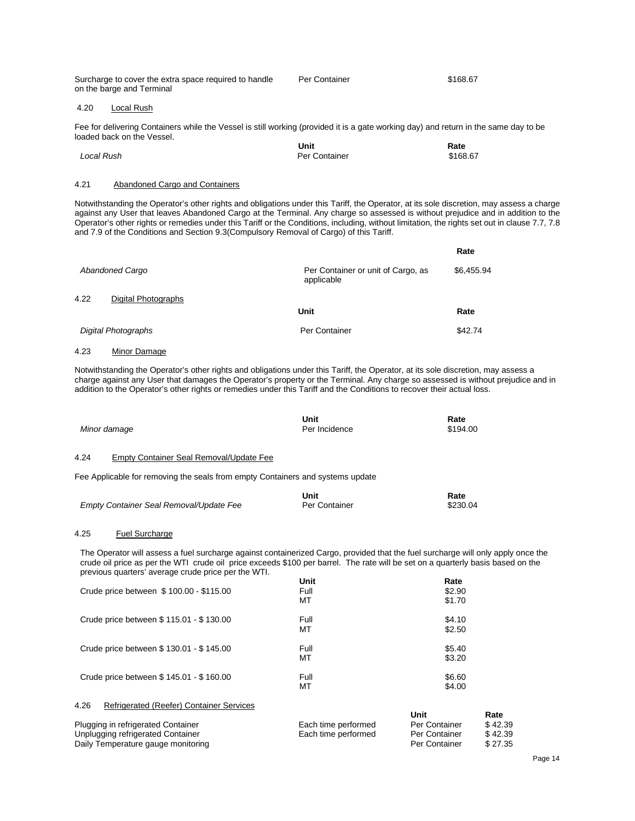Surcharge to cover the extra space required to handle Per Container \$168.67 on the barge and Terminal

#### 4.20 Local Rush

Fee for delivering Containers while the Vessel is still working (provided it is a gate working day) and return in the same day to be loaded back on the Vessel.

|            | Unit          | Rate     |
|------------|---------------|----------|
| Local Rush | Per Container | \$168.67 |

#### Abandoned Cargo and Containers

4.26 Refrigerated (Reefer) Container Services

Notwithstanding the Operator's other rights and obligations under this Tariff, the Operator, at its sole discretion, may assess a charge against any User that leaves Abandoned Cargo at the Terminal. Any charge so assessed is without prejudice and in addition to the Operator's other rights or remedies under this Tariff or the Conditions, including, without limitation, the rights set out in clause 7.7, 7.8 and 7.9 of the Conditions and Section 9.3(Compulsory Removal of Cargo) of this Tariff.

**Rate**

|      |                            |                                                  | naw        |
|------|----------------------------|--------------------------------------------------|------------|
|      | Abandoned Cargo            | Per Container or unit of Cargo, as<br>applicable | \$6,455.94 |
| 4.22 | Digital Photographs        |                                                  |            |
|      |                            | Unit                                             | Rate       |
|      | <b>Digital Photographs</b> | Per Container                                    | \$42.74    |
|      |                            |                                                  |            |

# 4.23 Minor Damage

Notwithstanding the Operator's other rights and obligations under this Tariff, the Operator, at its sole discretion, may assess a charge against any User that damages the Operator's property or the Terminal. Any charge so assessed is without prejudice and in addition to the Operator's other rights or remedies under this Tariff and the Conditions to recover their actual loss.

| Minor damage                                                                   | Unit<br>Per Incidence                                                                                                                                                                                                                                               | Rate<br>\$194.00 |
|--------------------------------------------------------------------------------|---------------------------------------------------------------------------------------------------------------------------------------------------------------------------------------------------------------------------------------------------------------------|------------------|
| 4.24<br>Empty Container Seal Removal/Update Fee                                |                                                                                                                                                                                                                                                                     |                  |
| Fee Applicable for removing the seals from empty Containers and systems update |                                                                                                                                                                                                                                                                     |                  |
| Empty Container Seal Removal/Update Fee                                        | Unit<br>Per Container                                                                                                                                                                                                                                               | Rate<br>\$230.04 |
| <b>Fuel Surcharge</b><br>4.25                                                  |                                                                                                                                                                                                                                                                     |                  |
|                                                                                | The Operator will assess a fuel surcharge against containerized Cargo, provided that the fuel surcharge will only apply once the<br>crude oil price as per the WTI crude oil price exceeds \$100 per barrel. The rate will be set on a quarterly basis based on the |                  |

| previous quarters' average crude price per the WTI. |              |                  |
|-----------------------------------------------------|--------------|------------------|
| Crude price between \$100.00 - \$115.00             | Unit<br>Full | Rate<br>\$2.90   |
|                                                     | МT           | \$1.70           |
| Crude price between \$115.01 - \$130.00             | Full<br>МT   | \$4.10<br>\$2.50 |
| Crude price between \$130.01 - \$145.00             | Full<br>МT   | \$5.40<br>\$3.20 |
| Crude price between \$145.01 - \$160.00             | Full<br>МT   | \$6.60<br>\$4.00 |

|                                    |                     | Unit                 | Rate    |
|------------------------------------|---------------------|----------------------|---------|
| Plugging in refrigerated Container | Each time performed | <b>Per Container</b> | \$42.39 |
| Unplugging refrigerated Container  | Each time performed | <b>Per Container</b> | \$42.39 |
| Daily Temperature gauge monitoring |                     | Per Container        | \$27.35 |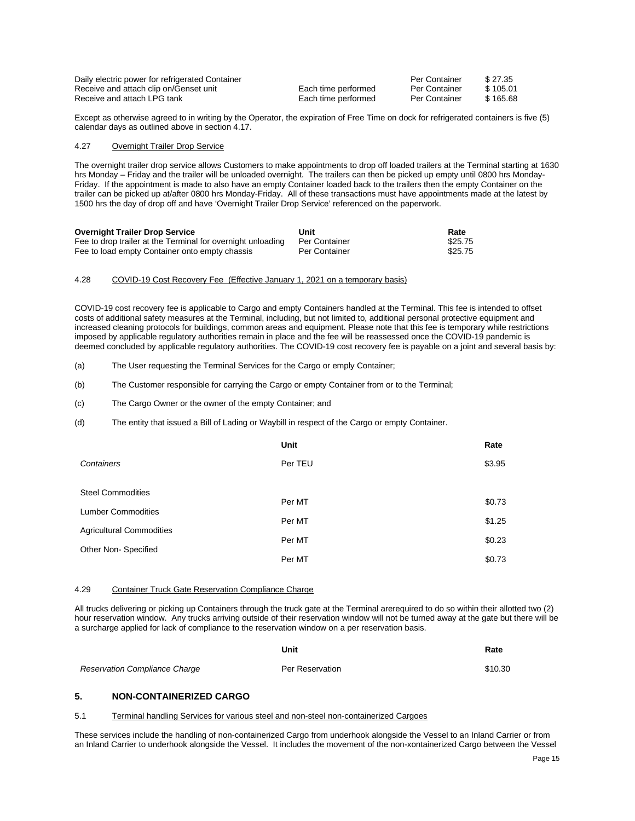| Daily electric power for refrigerated Container |                     | Per Container        | \$27.35  |
|-------------------------------------------------|---------------------|----------------------|----------|
| Receive and attach clip on/Genset unit          | Each time performed | <b>Per Container</b> | \$105.01 |
| Receive and attach LPG tank                     | Each time performed | <b>Per Container</b> | \$165.68 |

Except as otherwise agreed to in writing by the Operator, the expiration of Free Time on dock for refrigerated containers is five (5) calendar days as outlined above in section 4.17.

#### 4.27 Overnight Trailer Drop Service

The overnight trailer drop service allows Customers to make appointments to drop off loaded trailers at the Terminal starting at 1630 hrs Monday – Friday and the trailer will be unloaded overnight. The trailers can then be picked up empty until 0800 hrs Monday-Friday. If the appointment is made to also have an empty Container loaded back to the trailers then the empty Container on the trailer can be picked up at/after 0800 hrs Monday-Friday. All of these transactions must have appointments made at the latest by 1500 hrs the day of drop off and have 'Overnight Trailer Drop Service' referenced on the paperwork.

| <b>Overnight Trailer Drop Service</b>                       | Unit                 | Rate    |
|-------------------------------------------------------------|----------------------|---------|
| Fee to drop trailer at the Terminal for overnight unloading | <b>Per Container</b> | \$25.75 |
| Fee to load empty Container onto empty chassis              | Per Container        | \$25.75 |

#### 4.28 COVID-19 Cost Recovery Fee (Effective January 1, 2021 on a temporary basis)

COVID-19 cost recovery fee is applicable to Cargo and empty Containers handled at the Terminal. This fee is intended to offset costs of additional safety measures at the Terminal, including, but not limited to, additional personal protective equipment and increased cleaning protocols for buildings, common areas and equipment. Please note that this fee is temporary while restrictions imposed by applicable regulatory authorities remain in place and the fee will be reassessed once the COVID-19 pandemic is deemed concluded by applicable regulatory authorities. The COVID-19 cost recovery fee is payable on a joint and several basis by:

- (a) The User requesting the Terminal Services for the Cargo or emply Container;
- (b) The Customer responsible for carrying the Cargo or empty Container from or to the Terminal;
- (c) The Cargo Owner or the owner of the empty Container; and
- (d) The entity that issued a Bill of Lading or Waybill in respect of the Cargo or empty Container.

|                                 | Unit    | Rate   |
|---------------------------------|---------|--------|
| Containers                      | Per TEU | \$3.95 |
| <b>Steel Commodities</b>        |         |        |
|                                 | Per MT  | \$0.73 |
| <b>Lumber Commodities</b>       | Per MT  | \$1.25 |
| <b>Agricultural Commodities</b> |         |        |
| Other Non-Specified             | Per MT  | \$0.23 |
|                                 | Per MT  | \$0.73 |

### 4.29 Container Truck Gate Reservation Compliance Charge

All trucks delivering or picking up Containers through the truck gate at the Terminal arerequired to do so within their allotted two (2) hour reservation window. Any trucks arriving outside of their reservation window will not be turned away at the gate but there will be a surcharge applied for lack of compliance to the reservation window on a per reservation basis.

|                               | Unit            | Rate    |
|-------------------------------|-----------------|---------|
| Reservation Compliance Charge | Per Reservation | \$10.30 |

# <span id="page-14-0"></span>**5. NON-CONTAINERIZED CARGO**

#### 5.1 Terminal handling Services for various steel and non-steel non-containerized Cargoes

These services include the handling of non-containerized Cargo from underhook alongside the Vessel to an Inland Carrier or from an Inland Carrier to underhook alongside the Vessel. It includes the movement of the non-xontainerized Cargo between the Vessel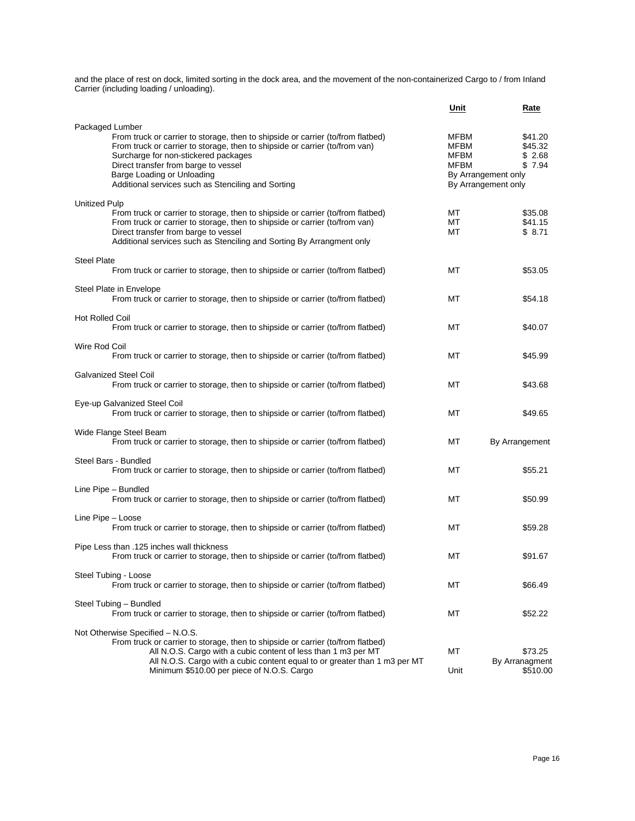and the place of rest on dock, limited sorting in the dock area, and the movement of the non-containerized Cargo to / from Inland Carrier (including loading / unloading).

|                                                                                                                                                                                                                                                                                                                                                       | Unit                                | Rate                                                                                 |
|-------------------------------------------------------------------------------------------------------------------------------------------------------------------------------------------------------------------------------------------------------------------------------------------------------------------------------------------------------|-------------------------------------|--------------------------------------------------------------------------------------|
| Packaged Lumber<br>From truck or carrier to storage, then to shipside or carrier (to/from flatbed)<br>From truck or carrier to storage, then to shipside or carrier (to/from van)<br>Surcharge for non-stickered packages<br>Direct transfer from barge to vessel<br>Barge Loading or Unloading<br>Additional services such as Stenciling and Sorting | <b>MFBM</b><br>MFBM<br>MFBM<br>MFBM | \$41.20<br>\$45.32<br>\$2.68<br>\$7.94<br>By Arrangement only<br>By Arrangement only |
| Unitized Pulp<br>From truck or carrier to storage, then to shipside or carrier (to/from flatbed)<br>From truck or carrier to storage, then to shipside or carrier (to/from van)<br>Direct transfer from barge to vessel<br>Additional services such as Stenciling and Sorting By Arrangment only                                                      | МT<br>МT<br>МT                      | \$35.08<br>\$41.15<br>\$ 8.71                                                        |
| <b>Steel Plate</b><br>From truck or carrier to storage, then to shipside or carrier (to/from flatbed)                                                                                                                                                                                                                                                 | МT                                  | \$53.05                                                                              |
| Steel Plate in Envelope<br>From truck or carrier to storage, then to shipside or carrier (to/from flatbed)                                                                                                                                                                                                                                            | МT                                  | \$54.18                                                                              |
| <b>Hot Rolled Coil</b><br>From truck or carrier to storage, then to shipside or carrier (to/from flatbed)                                                                                                                                                                                                                                             | МT                                  | \$40.07                                                                              |
| Wire Rod Coil<br>From truck or carrier to storage, then to shipside or carrier (to/from flatbed)                                                                                                                                                                                                                                                      | МT                                  | \$45.99                                                                              |
| <b>Galvanized Steel Coil</b><br>From truck or carrier to storage, then to shipside or carrier (to/from flatbed)                                                                                                                                                                                                                                       | МT                                  | \$43.68                                                                              |
| Eye-up Galvanized Steel Coil<br>From truck or carrier to storage, then to shipside or carrier (to/from flatbed)                                                                                                                                                                                                                                       | МT                                  | \$49.65                                                                              |
| Wide Flange Steel Beam<br>From truck or carrier to storage, then to shipside or carrier (to/from flatbed)                                                                                                                                                                                                                                             | МT                                  | By Arrangement                                                                       |
| Steel Bars - Bundled<br>From truck or carrier to storage, then to shipside or carrier (to/from flatbed)                                                                                                                                                                                                                                               | МT                                  | \$55.21                                                                              |
| Line Pipe – Bundled<br>From truck or carrier to storage, then to shipside or carrier (to/from flatbed)                                                                                                                                                                                                                                                | МT                                  | \$50.99                                                                              |
| Line Pipe - Loose<br>From truck or carrier to storage, then to shipside or carrier (to/from flatbed)                                                                                                                                                                                                                                                  | МT                                  | \$59.28                                                                              |
| Pipe Less than .125 inches wall thickness<br>From truck or carrier to storage, then to shipside or carrier (to/from flatbed)                                                                                                                                                                                                                          | МT                                  | \$91.67                                                                              |
| Steel Tubing - Loose<br>From truck or carrier to storage, then to shipside or carrier (to/from flatbed)                                                                                                                                                                                                                                               | МT                                  | \$66.49                                                                              |
| Steel Tubing - Bundled<br>From truck or carrier to storage, then to shipside or carrier (to/from flatbed)                                                                                                                                                                                                                                             | МT                                  | \$52.22                                                                              |
| Not Otherwise Specified - N.O.S.<br>From truck or carrier to storage, then to shipside or carrier (to/from flatbed)<br>All N.O.S. Cargo with a cubic content of less than 1 m3 per MT<br>All N.O.S. Cargo with a cubic content equal to or greater than 1 m3 per MT<br>Minimum \$510.00 per piece of N.O.S. Cargo                                     | МT<br>Unit                          | \$73.25<br>By Arranagment<br>\$510.00                                                |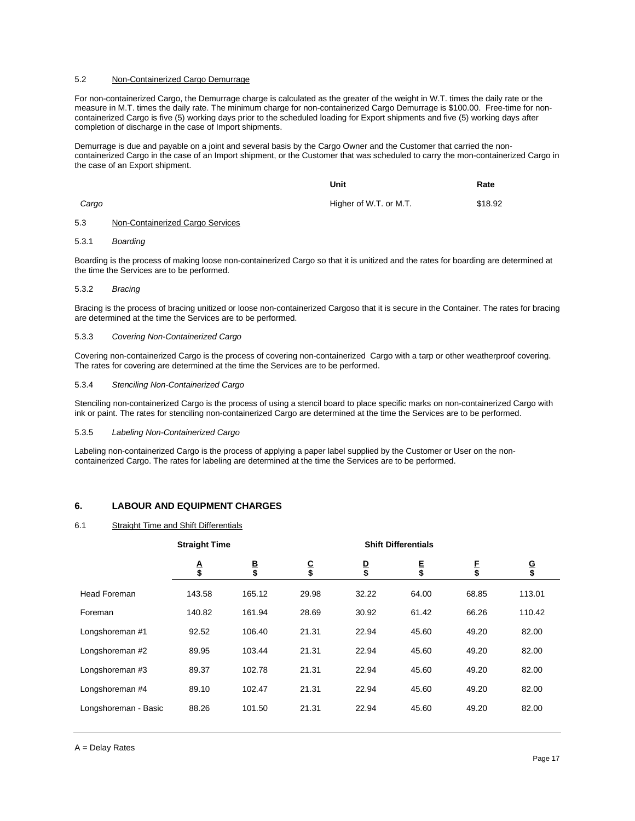#### 5.2 Non-Containerized Cargo Demurrage

For non-containerized Cargo, the Demurrage charge is calculated as the greater of the weight in W.T. times the daily rate or the measure in M.T. times the daily rate. The minimum charge for non-containerized Cargo Demurrage is \$100.00. Free-time for noncontainerized Cargo is five (5) working days prior to the scheduled loading for Export shipments and five (5) working days after completion of discharge in the case of Import shipments.

Demurrage is due and payable on a joint and several basis by the Cargo Owner and the Customer that carried the noncontainerized Cargo in the case of an Import shipment, or the Customer that was scheduled to carry the mon-containerized Cargo in the case of an Export shipment.

**Unit**

**Rate**

|       | unit                   | Rate    |
|-------|------------------------|---------|
| Cargo | Higher of W.T. or M.T. | \$18.92 |

# 5.3 Non-Containerized Cargo Services

#### 5.3.1 *Boarding*

Boarding is the process of making loose non-containerized Cargo so that it is unitized and the rates for boarding are determined at the time the Services are to be performed.

#### 5.3.2 *Bracing*

Bracing is the process of bracing unitized or loose non-containerized Cargoso that it is secure in the Container. The rates for bracing are determined at the time the Services are to be performed.

#### 5.3.3 *Covering Non-Containerized Cargo*

Covering non-containerized Cargo is the process of covering non-containerized Cargo with a tarp or other weatherproof covering. The rates for covering are determined at the time the Services are to be performed.

#### 5.3.4 *Stenciling Non-Containerized Cargo*

Stenciling non-containerized Cargo is the process of using a stencil board to place specific marks on non-containerized Cargo with ink or paint. The rates for stenciling non-containerized Cargo are determined at the time the Services are to be performed.

### 5.3.5 *Labeling Non-Containerized Cargo*

Labeling non-containerized Cargo is the process of applying a paper label supplied by the Customer or User on the noncontainerized Cargo. The rates for labeling are determined at the time the Services are to be performed.

#### <span id="page-16-0"></span>**6. LABOUR AND EQUIPMENT CHARGES**

#### 6.1 Straight Time and Shift Differentials

|                      | <b>Straight Time</b> |              |              | <b>Shift Differentials</b> |              |         |              |  |
|----------------------|----------------------|--------------|--------------|----------------------------|--------------|---------|--------------|--|
|                      | $\frac{A}{\$}$       | $rac{B}{\$}$ | $rac{C}{\$}$ | $rac{D}{\$}$               | $rac{E}{\$}$ | F<br>\$ | $rac{G}{\$}$ |  |
| <b>Head Foreman</b>  | 143.58               | 165.12       | 29.98        | 32.22                      | 64.00        | 68.85   | 113.01       |  |
| Foreman              | 140.82               | 161.94       | 28.69        | 30.92                      | 61.42        | 66.26   | 110.42       |  |
| Longshoreman #1      | 92.52                | 106.40       | 21.31        | 22.94                      | 45.60        | 49.20   | 82.00        |  |
| Longshoreman #2      | 89.95                | 103.44       | 21.31        | 22.94                      | 45.60        | 49.20   | 82.00        |  |
| Longshoreman #3      | 89.37                | 102.78       | 21.31        | 22.94                      | 45.60        | 49.20   | 82.00        |  |
| Longshoreman #4      | 89.10                | 102.47       | 21.31        | 22.94                      | 45.60        | 49.20   | 82.00        |  |
| Longshoreman - Basic | 88.26                | 101.50       | 21.31        | 22.94                      | 45.60        | 49.20   | 82.00        |  |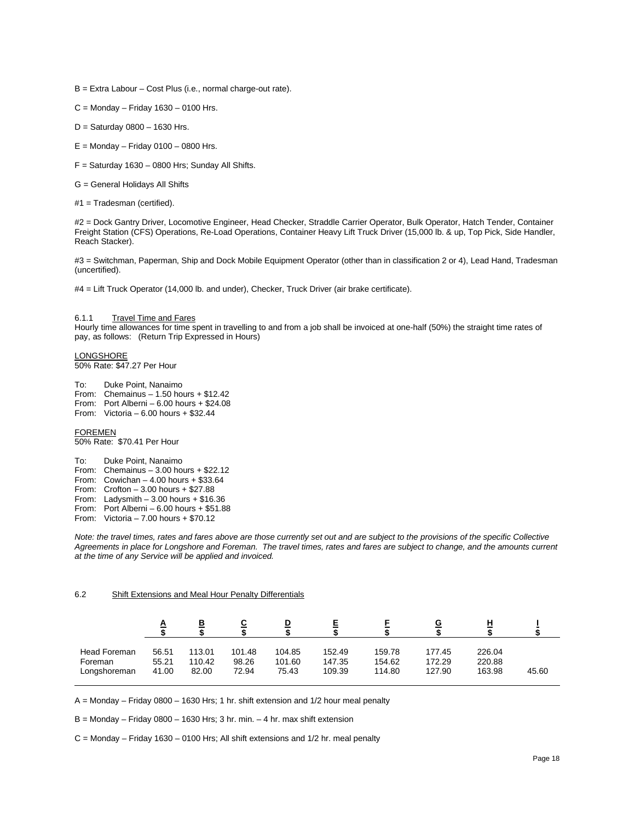- B = Extra Labour Cost Plus (i.e., normal charge-out rate).
- $C =$  Monday Friday 1630 0100 Hrs.
- $D =$  Saturday 0800 1630 Hrs.
- $E =$  Monday Friday 0100 0800 Hrs.
- $F =$  Saturday 1630 0800 Hrs; Sunday All Shifts.
- G = General Holidays All Shifts
- #1 = Tradesman (certified).

#2 = Dock Gantry Driver, Locomotive Engineer, Head Checker, Straddle Carrier Operator, Bulk Operator, Hatch Tender, Container Freight Station (CFS) Operations, Re-Load Operations, Container Heavy Lift Truck Driver (15,000 lb. & up, Top Pick, Side Handler, Reach Stacker).

#3 = Switchman, Paperman, Ship and Dock Mobile Equipment Operator (other than in classification 2 or 4), Lead Hand, Tradesman (uncertified).

#4 = Lift Truck Operator (14,000 lb. and under), Checker, Truck Driver (air brake certificate).

#### 6.1.1 Travel Time and Fares

Hourly time allowances for time spent in travelling to and from a job shall be invoiced at one-half (50%) the straight time rates of pay, as follows: (Return Trip Expressed in Hours)

# LONGSHORE

50% Rate: \$47.27 Per Hour

To: Duke Point, Nanaimo From: Chemainus – 1.50 hours + \$12.42 From: Port Alberni – 6.00 hours + \$24.08 From: Victoria – 6.00 hours + \$32.44

### FOREMEN

50% Rate: \$70.41 Per Hour

To: Duke Point, Nanaimo From: Chemainus – 3.00 hours + \$22.12 From: Cowichan  $-4.00$  hours  $+$  \$33.64 From: Crofton – 3.00 hours + \$27.88 From: Ladysmith  $-3.00$  hours  $+$  \$16.36 From: Port Alberni – 6.00 hours + \$51.88 From: Victoria – 7.00 hours + \$70.12

*Note: the travel times, rates and fares above are those currently set out and are subject to the provisions of the specific Collective Agreements in place for Longshore and Foreman. The travel times, rates and fares are subject to change, and the amounts current at the time of any Service will be applied and invoiced.*

#### 6.2 Shift Extensions and Meal Hour Penalty Differentials

|              | A     | ⋼      | <u>ي</u> | D      |        |        | G      |        |       |
|--------------|-------|--------|----------|--------|--------|--------|--------|--------|-------|
| Head Foreman | 56.51 | 113.01 | 101.48   | 104.85 | 152.49 | 159.78 | 177.45 | 226.04 | 45.60 |
| Foreman      | 55.21 | 110.42 | 98.26    | 101.60 | 147.35 | 154.62 | 172.29 | 220.88 |       |
| Longshoreman | 41.00 | 82.00  | 72.94    | 75.43  | 109.39 | 114.80 | 127.90 | 163.98 |       |

A = Monday – Friday 0800 – 1630 Hrs; 1 hr. shift extension and 1/2 hour meal penalty

 $B =$  Monday – Friday 0800 – 1630 Hrs; 3 hr. min. – 4 hr. max shift extension

 $C =$  Monday – Friday 1630 – 0100 Hrs; All shift extensions and 1/2 hr. meal penalty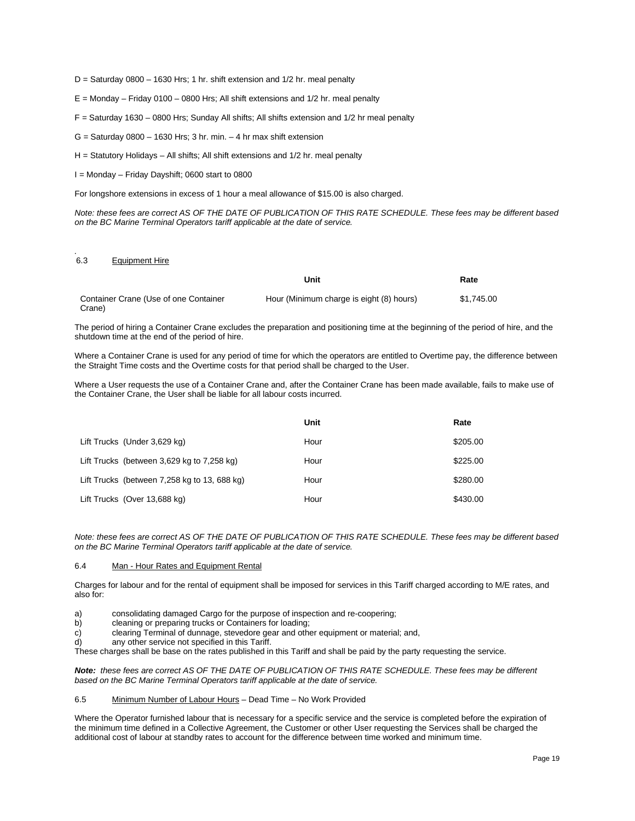- $D =$  Saturday 0800 1630 Hrs; 1 hr. shift extension and 1/2 hr. meal penalty
- E = Monday Friday 0100 0800 Hrs; All shift extensions and 1/2 hr. meal penalty
- F = Saturday 1630 0800 Hrs; Sunday All shifts; All shifts extension and 1/2 hr meal penalty
- $G =$  Saturday 0800 1630 Hrs; 3 hr. min. 4 hr max shift extension
- H = Statutory Holidays All shifts; All shift extensions and 1/2 hr. meal penalty
- I = Monday Friday Dayshift; 0600 start to 0800

For longshore extensions in excess of 1 hour a meal allowance of \$15.00 is also charged.

*Note: these fees are correct AS OF THE DATE OF PUBLICATION OF THIS RATE SCHEDULE. These fees may be different based on the BC Marine Terminal Operators tariff applicable at the date of service.*

#### *.*  Equipment Hire

|                                                 | Unit                                     | Rate       |
|-------------------------------------------------|------------------------------------------|------------|
| Container Crane (Use of one Container<br>Crane) | Hour (Minimum charge is eight (8) hours) | \$1.745.00 |

The period of hiring a Container Crane excludes the preparation and positioning time at the beginning of the period of hire, and the shutdown time at the end of the period of hire.

Where a Container Crane is used for any period of time for which the operators are entitled to Overtime pay, the difference between the Straight Time costs and the Overtime costs for that period shall be charged to the User.

Where a User requests the use of a Container Crane and, after the Container Crane has been made available, fails to make use of the Container Crane, the User shall be liable for all labour costs incurred.

|                                                | Unit | Rate     |
|------------------------------------------------|------|----------|
| Lift Trucks (Under 3,629 kg)                   | Hour | \$205.00 |
| Lift Trucks (between 3,629 kg to 7,258 kg)     | Hour | \$225.00 |
| Lift Trucks (between $7,258$ kg to 13, 688 kg) | Hour | \$280.00 |
| Lift Trucks (Over 13,688 kg)                   | Hour | \$430.00 |

*Note: these fees are correct AS OF THE DATE OF PUBLICATION OF THIS RATE SCHEDULE. These fees may be different based on the BC Marine Terminal Operators tariff applicable at the date of service.*

#### 6.4 Man - Hour Rates and Equipment Rental

Charges for labour and for the rental of equipment shall be imposed for services in this Tariff charged according to M/E rates, and also for:

- a) consolidating damaged Cargo for the purpose of inspection and re-coopering;
- b) cleaning or preparing trucks or Containers for loading;<br>c) clearing Terminal of dunnage, stevedore gear and other
- c) clearing Terminal of dunnage, stevedore gear and other equipment or material; and,
- d) any other service not specified in this Tariff.

These charges shall be base on the rates published in this Tariff and shall be paid by the party requesting the service.

*Note: these fees are correct AS OF THE DATE OF PUBLICATION OF THIS RATE SCHEDULE. These fees may be different based on the BC Marine Terminal Operators tariff applicable at the date of service.* 

#### 6.5 Minimum Number of Labour Hours – Dead Time – No Work Provided

Where the Operator furnished labour that is necessary for a specific service and the service is completed before the expiration of the minimum time defined in a Collective Agreement, the Customer or other User requesting the Services shall be charged the additional cost of labour at standby rates to account for the difference between time worked and minimum time.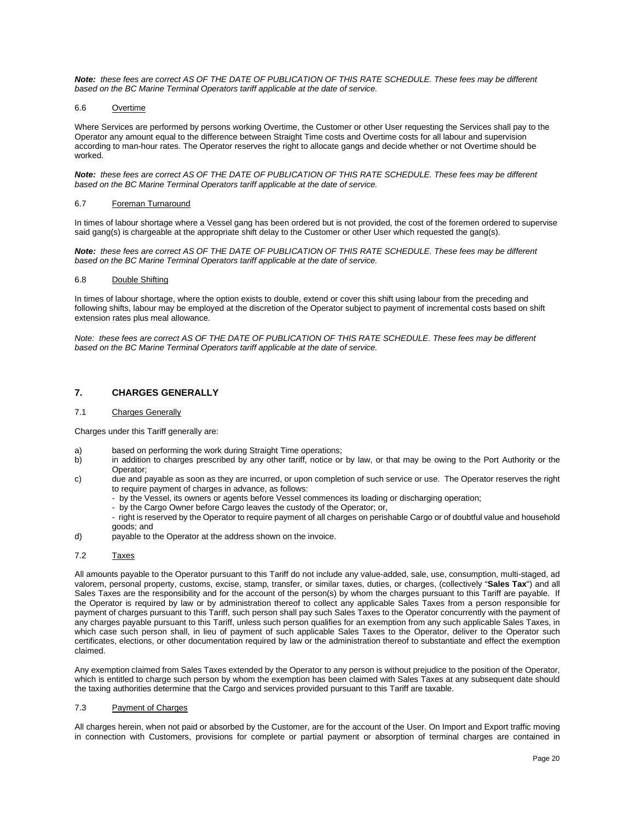*Note: these fees are correct AS OF THE DATE OF PUBLICATION OF THIS RATE SCHEDULE. These fees may be different based on the BC Marine Terminal Operators tariff applicable at the date of service.* 

#### 6.6 Overtime

Where Services are performed by persons working Overtime, the Customer or other User requesting the Services shall pay to the Operator any amount equal to the difference between Straight Time costs and Overtime costs for all labour and supervision according to man-hour rates. The Operator reserves the right to allocate gangs and decide whether or not Overtime should be worked.

*Note: these fees are correct AS OF THE DATE OF PUBLICATION OF THIS RATE SCHEDULE. These fees may be different based on the BC Marine Terminal Operators tariff applicable at the date of service.* 

#### 6.7 Foreman Turnaround

In times of labour shortage where a Vessel gang has been ordered but is not provided, the cost of the foremen ordered to supervise said gang(s) is chargeable at the appropriate shift delay to the Customer or other User which requested the gang(s).

*Note: these fees are correct AS OF THE DATE OF PUBLICATION OF THIS RATE SCHEDULE. These fees may be different based on the BC Marine Terminal Operators tariff applicable at the date of service.* 

### 6.8 Double Shifting

In times of labour shortage, where the option exists to double, extend or cover this shift using labour from the preceding and following shifts, labour may be employed at the discretion of the Operator subject to payment of incremental costs based on shift extension rates plus meal allowance.

*Note: these fees are correct AS OF THE DATE OF PUBLICATION OF THIS RATE SCHEDULE. These fees may be different based on the BC Marine Terminal Operators tariff applicable at the date of service.* 

# <span id="page-19-0"></span>**7. CHARGES GENERALLY**

#### 7.1 Charges Generally

Charges under this Tariff generally are:

- a) based on performing the work during Straight Time operations;
- b) in addition to charges prescribed by any other tariff, notice or by law, or that may be owing to the Port Authority or the Operator;
- c) due and payable as soon as they are incurred, or upon completion of such service or use. The Operator reserves the right to require payment of charges in advance, as follows:
	- by the Vessel, its owners or agents before Vessel commences its loading or discharging operation;
	- by the Cargo Owner before Cargo leaves the custody of the Operator; or,
	- right is reserved by the Operator to require payment of all charges on perishable Cargo or of doubtful value and household goods; and
- d) payable to the Operator at the address shown on the invoice.

#### 7.2 Taxes

All amounts payable to the Operator pursuant to this Tariff do not include any value-added, sale, use, consumption, multi-staged, ad valorem, personal property, customs, excise, stamp, transfer, or similar taxes, duties, or charges, (collectively "**Sales Tax**") and all Sales Taxes are the responsibility and for the account of the person(s) by whom the charges pursuant to this Tariff are payable. If the Operator is required by law or by administration thereof to collect any applicable Sales Taxes from a person responsible for payment of charges pursuant to this Tariff, such person shall pay such Sales Taxes to the Operator concurrently with the payment of any charges payable pursuant to this Tariff, unless such person qualifies for an exemption from any such applicable Sales Taxes, in which case such person shall, in lieu of payment of such applicable Sales Taxes to the Operator, deliver to the Operator such certificates, elections, or other documentation required by law or the administration thereof to substantiate and effect the exemption claimed.

Any exemption claimed from Sales Taxes extended by the Operator to any person is without prejudice to the position of the Operator, which is entitled to charge such person by whom the exemption has been claimed with Sales Taxes at any subsequent date should the taxing authorities determine that the Cargo and services provided pursuant to this Tariff are taxable.

# 7.3 Payment of Charges

All charges herein, when not paid or absorbed by the Customer, are for the account of the User. On Import and Export traffic moving in connection with Customers, provisions for complete or partial payment or absorption of terminal charges are contained in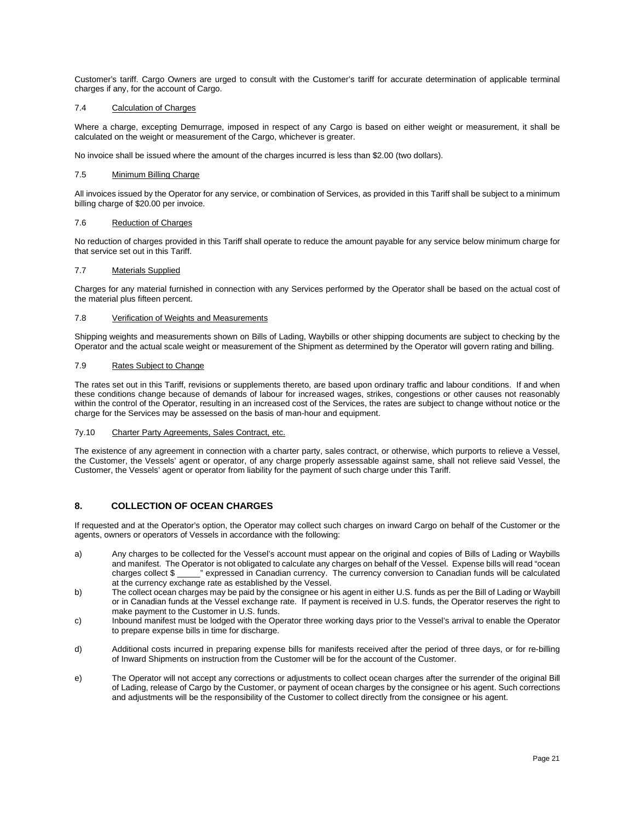Customer's tariff. Cargo Owners are urged to consult with the Customer's tariff for accurate determination of applicable terminal charges if any, for the account of Cargo.

### 7.4 Calculation of Charges

Where a charge, excepting Demurrage, imposed in respect of any Cargo is based on either weight or measurement, it shall be calculated on the weight or measurement of the Cargo, whichever is greater.

No invoice shall be issued where the amount of the charges incurred is less than \$2.00 (two dollars).

#### 7.5 Minimum Billing Charge

All invoices issued by the Operator for any service, or combination of Services, as provided in this Tariff shall be subject to a minimum billing charge of \$20.00 per invoice.

#### 7.6 Reduction of Charges

No reduction of charges provided in this Tariff shall operate to reduce the amount payable for any service below minimum charge for that service set out in this Tariff.

#### 7.7 Materials Supplied

Charges for any material furnished in connection with any Services performed by the Operator shall be based on the actual cost of the material plus fifteen percent.

#### 7.8 Verification of Weights and Measurements

Shipping weights and measurements shown on Bills of Lading, Waybills or other shipping documents are subject to checking by the Operator and the actual scale weight or measurement of the Shipment as determined by the Operator will govern rating and billing.

#### 7.9 Rates Subject to Change

The rates set out in this Tariff, revisions or supplements thereto, are based upon ordinary traffic and labour conditions. If and when these conditions change because of demands of labour for increased wages, strikes, congestions or other causes not reasonably within the control of the Operator, resulting in an increased cost of the Services, the rates are subject to change without notice or the charge for the Services may be assessed on the basis of man-hour and equipment.

#### 7y.10 Charter Party Agreements, Sales Contract, etc.

The existence of any agreement in connection with a charter party, sales contract, or otherwise, which purports to relieve a Vessel, the Customer, the Vessels' agent or operator, of any charge properly assessable against same, shall not relieve said Vessel, the Customer, the Vessels' agent or operator from liability for the payment of such charge under this Tariff.

# <span id="page-20-0"></span>**8. COLLECTION OF OCEAN CHARGES**

If requested and at the Operator's option, the Operator may collect such charges on inward Cargo on behalf of the Customer or the agents, owners or operators of Vessels in accordance with the following:

- a) Any charges to be collected for the Vessel's account must appear on the original and copies of Bills of Lading or Waybills and manifest. The Operator is not obligated to calculate any charges on behalf of the Vessel. Expense bills will read "ocean charges collect \$ \_\_\_\_\_" expressed in Canadian currency. The currency conversion to Canadian funds will be calculated at the currency exchange rate as established by the Vessel.
- b) The collect ocean charges may be paid by the consignee or his agent in either U.S. funds as per the Bill of Lading or Waybill or in Canadian funds at the Vessel exchange rate. If payment is received in U.S. funds, the Operator reserves the right to make payment to the Customer in U.S. funds.
- c) Inbound manifest must be lodged with the Operator three working days prior to the Vessel's arrival to enable the Operator to prepare expense bills in time for discharge.
- d) Additional costs incurred in preparing expense bills for manifests received after the period of three days, or for re-billing of Inward Shipments on instruction from the Customer will be for the account of the Customer.
- e) The Operator will not accept any corrections or adjustments to collect ocean charges after the surrender of the original Bill of Lading, release of Cargo by the Customer, or payment of ocean charges by the consignee or his agent. Such corrections and adjustments will be the responsibility of the Customer to collect directly from the consignee or his agent.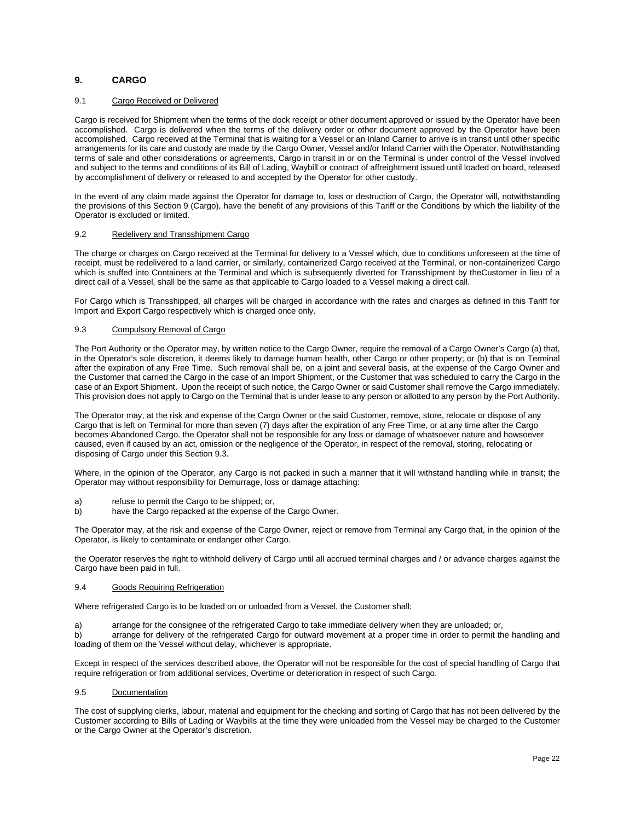# <span id="page-21-0"></span>**9. CARGO**

# 9.1 Cargo Received or Delivered

Cargo is received for Shipment when the terms of the dock receipt or other document approved or issued by the Operator have been accomplished. Cargo is delivered when the terms of the delivery order or other document approved by the Operator have been accomplished. Cargo received at the Terminal that is waiting for a Vessel or an Inland Carrier to arrive is in transit until other specific arrangements for its care and custody are made by the Cargo Owner, Vessel and/or Inland Carrier with the Operator. Notwithstanding terms of sale and other considerations or agreements, Cargo in transit in or on the Terminal is under control of the Vessel involved and subject to the terms and conditions of its Bill of Lading, Waybill or contract of affreightment issued until loaded on board, released by accomplishment of delivery or released to and accepted by the Operator for other custody.

In the event of any claim made against the Operator for damage to, loss or destruction of Cargo, the Operator will, notwithstanding the provisions of this Section 9 (Cargo), have the benefit of any provisions of this Tariff or the Conditions by which the liability of the Operator is excluded or limited.

# 9.2 Redelivery and Transshipment Cargo

The charge or charges on Cargo received at the Terminal for delivery to a Vessel which, due to conditions unforeseen at the time of receipt, must be redelivered to a land carrier, or similarly, containerized Cargo received at the Terminal, or non-containerized Cargo which is stuffed into Containers at the Terminal and which is subsequently diverted for Transshipment by theCustomer in lieu of a direct call of a Vessel, shall be the same as that applicable to Cargo loaded to a Vessel making a direct call.

For Cargo which is Transshipped, all charges will be charged in accordance with the rates and charges as defined in this Tariff for Import and Export Cargo respectively which is charged once only.

#### 9.3 Compulsory Removal of Cargo

The Port Authority or the Operator may, by written notice to the Cargo Owner, require the removal of a Cargo Owner's Cargo (a) that, in the Operator's sole discretion, it deems likely to damage human health, other Cargo or other property; or (b) that is on Terminal after the expiration of any Free Time. Such removal shall be, on a joint and several basis, at the expense of the Cargo Owner and the Customer that carried the Cargo in the case of an Import Shipment, or the Customer that was scheduled to carry the Cargo in the case of an Export Shipment. Upon the receipt of such notice, the Cargo Owner or said Customer shall remove the Cargo immediately. This provision does not apply to Cargo on the Terminal that is under lease to any person or allotted to any person by the Port Authority.

The Operator may, at the risk and expense of the Cargo Owner or the said Customer, remove, store, relocate or dispose of any Cargo that is left on Terminal for more than seven (7) days after the expiration of any Free Time, or at any time after the Cargo becomes Abandoned Cargo. the Operator shall not be responsible for any loss or damage of whatsoever nature and howsoever caused, even if caused by an act, omission or the negligence of the Operator, in respect of the removal, storing, relocating or disposing of Cargo under this Section 9.3.

Where, in the opinion of the Operator, any Cargo is not packed in such a manner that it will withstand handling while in transit; the Operator may without responsibility for Demurrage, loss or damage attaching:

- a) refuse to permit the Cargo to be shipped; or,<br>b) have the Cargo repacked at the expense of the
- have the Cargo repacked at the expense of the Cargo Owner.

The Operator may, at the risk and expense of the Cargo Owner, reject or remove from Terminal any Cargo that, in the opinion of the Operator, is likely to contaminate or endanger other Cargo.

the Operator reserves the right to withhold delivery of Cargo until all accrued terminal charges and / or advance charges against the Cargo have been paid in full.

#### 9.4 Goods Requiring Refrigeration

Where refrigerated Cargo is to be loaded on or unloaded from a Vessel, the Customer shall:

a) arrange for the consignee of the refrigerated Cargo to take immediate delivery when they are unloaded; or,

b) arrange for delivery of the refrigerated Cargo for outward movement at a proper time in order to permit the handling and loading of them on the Vessel without delay, whichever is appropriate.

Except in respect of the services described above, the Operator will not be responsible for the cost of special handling of Cargo that require refrigeration or from additional services, Overtime or deterioration in respect of such Cargo.

#### 9.5 Documentation

The cost of supplying clerks, labour, material and equipment for the checking and sorting of Cargo that has not been delivered by the Customer according to Bills of Lading or Waybills at the time they were unloaded from the Vessel may be charged to the Customer or the Cargo Owner at the Operator's discretion.